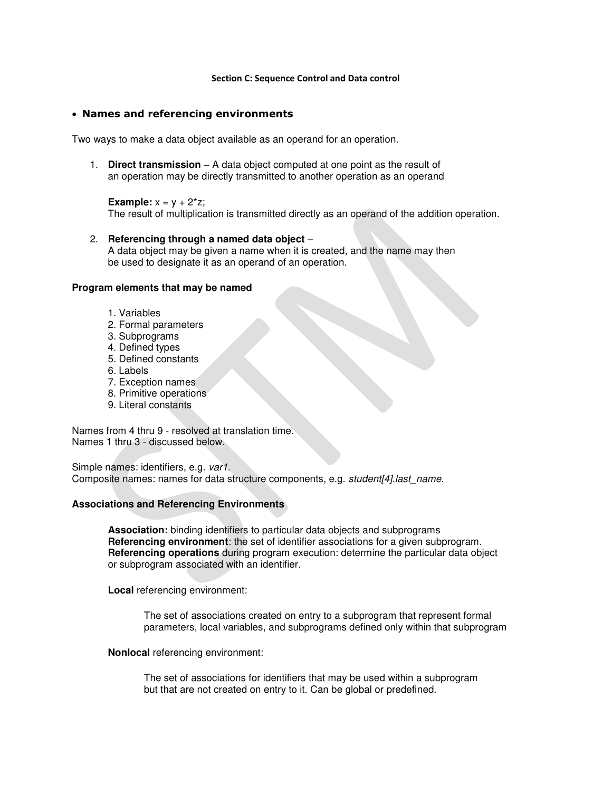#### **Section C: Sequence Control and Data control**

### **Names and referencing environments**

Two ways to make a data object available as an operand for an operation.

1. **Direct transmission** – A data object computed at one point as the result of an operation may be directly transmitted to another operation as an operand

### **Example:**  $x = y + 2^{x}z$ ;

The result of multiplication is transmitted directly as an operand of the addition operation.

### 2. **Referencing through a named data object** –

A data object may be given a name when it is created, and the name may then be used to designate it as an operand of an operation.

### **Program elements that may be named**

- 1. Variables
- 2. Formal parameters
- 3. Subprograms
- 4. Defined types
- 5. Defined constants
- 6. Labels
- 7. Exception names
- 8. Primitive operations
- 9. Literal constants

Names from 4 thru 9 - resolved at translation time. Names 1 thru 3 - discussed below.

Simple names: identifiers, e.g. var1. Composite names: names for data structure components, e.g. student[4].last\_name.

### **Associations and Referencing Environments**

**Association:** binding identifiers to particular data objects and subprograms **Referencing environment**: the set of identifier associations for a given subprogram. **Referencing operations** during program execution: determine the particular data object or subprogram associated with an identifier.

**Local** referencing environment:

The set of associations created on entry to a subprogram that represent formal parameters, local variables, and subprograms defined only within that subprogram

### **Nonlocal** referencing environment:

The set of associations for identifiers that may be used within a subprogram but that are not created on entry to it. Can be global or predefined.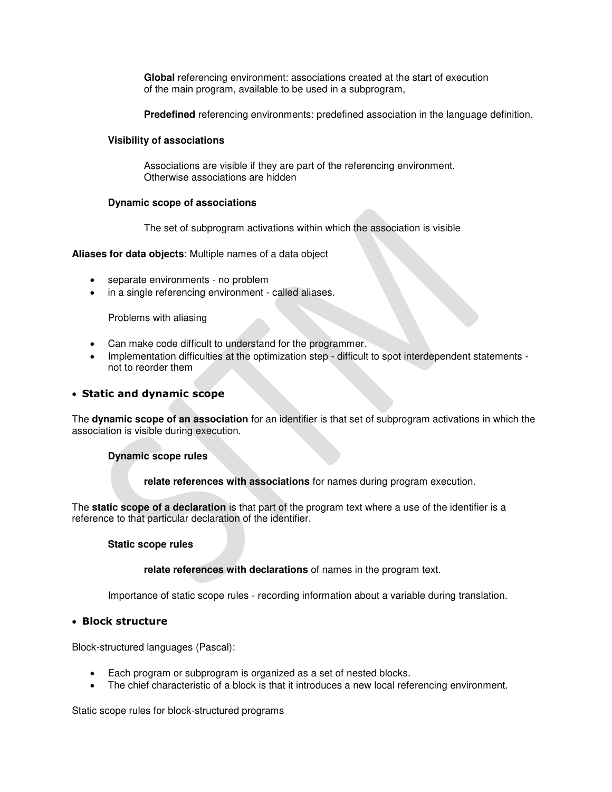**Global** referencing environment: associations created at the start of execution of the main program, available to be used in a subprogram,

**Predefined** referencing environments: predefined association in the language definition.

## **Visibility of associations**

Associations are visible if they are part of the referencing environment. Otherwise associations are hidden

# **Dynamic scope of associations**

The set of subprogram activations within which the association is visible

# **Aliases for data objects**: Multiple names of a data object

- separate environments no problem
- in a single referencing environment called aliases.

## Problems with aliasing

- Can make code difficult to understand for the programmer.
- Implementation difficulties at the optimization step difficult to spot interdependent statements not to reorder them

# **Static and dynamic scope**

The **dynamic scope of an association** for an identifier is that set of subprogram activations in which the association is visible during execution.

## **Dynamic scope rules**

**relate references with associations** for names during program execution.

The **static scope of a declaration** is that part of the program text where a use of the identifier is a reference to that particular declaration of the identifier.

## **Static scope rules**

**relate references with declarations** of names in the program text.

Importance of static scope rules - recording information about a variable during translation.

# **Block structure**

Block-structured languages (Pascal):

- Each program or subprogram is organized as a set of nested blocks.
- The chief characteristic of a block is that it introduces a new local referencing environment.

Static scope rules for block-structured programs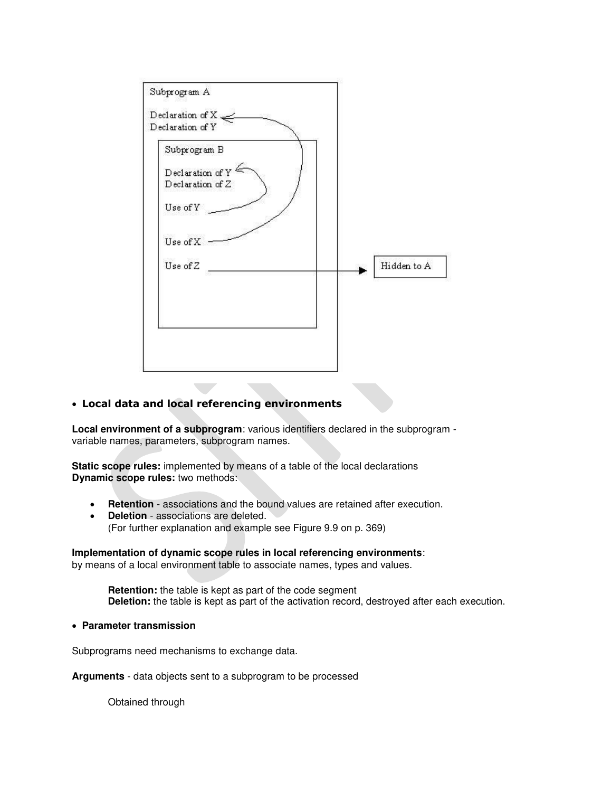

# **Local data and local referencing environments**

**Local environment of a subprogram**: various identifiers declared in the subprogram variable names, parameters, subprogram names.

**Static scope rules:** implemented by means of a table of the local declarations **Dynamic scope rules:** two methods:

- **Retention** associations and the bound values are retained after execution.
- **Deletion** associations are deleted. (For further explanation and example see Figure 9.9 on p. 369)

## **Implementation of dynamic scope rules in local referencing environments**:

by means of a local environment table to associate names, types and values.

**Retention:** the table is kept as part of the code segment **Deletion:** the table is kept as part of the activation record, destroyed after each execution.

**Parameter transmission**

Subprograms need mechanisms to exchange data.

**Arguments** - data objects sent to a subprogram to be processed

Obtained through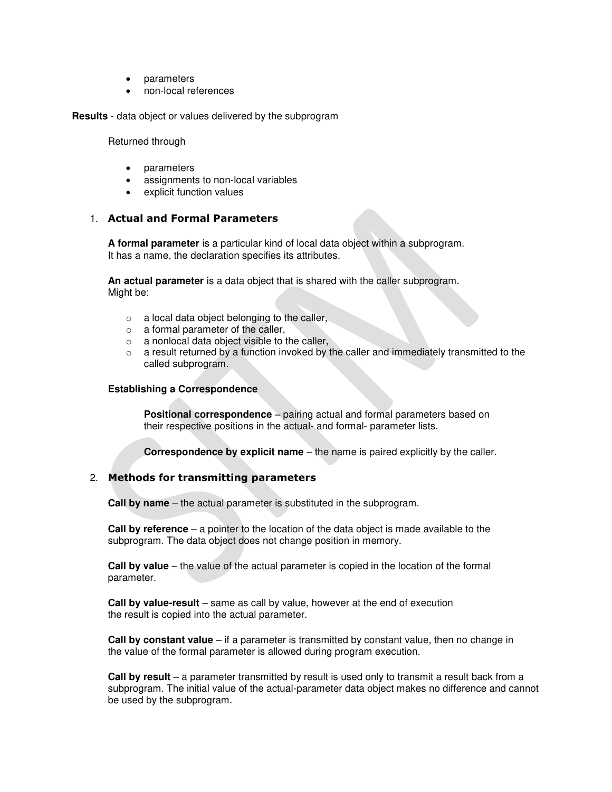- parameters
- non-local references

**Results** - data object or values delivered by the subprogram

Returned through

- parameters
- assignments to non-local variables
- explicit function values

## 1. **Actual and Formal Parameters**

**A formal parameter** is a particular kind of local data object within a subprogram. It has a name, the declaration specifies its attributes.

**An actual parameter** is a data object that is shared with the caller subprogram. Might be:

- o a local data object belonging to the caller,
- o a formal parameter of the caller,
- o a nonlocal data object visible to the caller,
- o a result returned by a function invoked by the caller and immediately transmitted to the called subprogram.

### **Establishing a Correspondence**

**Positional correspondence** – pairing actual and formal parameters based on their respective positions in the actual- and formal- parameter lists.

**Correspondence by explicit name** – the name is paired explicitly by the caller.

## 2. **Methods for transmitting parameters**

**Call by name** – the actual parameter is substituted in the subprogram.

**Call by reference** – a pointer to the location of the data object is made available to the subprogram. The data object does not change position in memory.

**Call by value** – the value of the actual parameter is copied in the location of the formal parameter.

**Call by value-result** – same as call by value, however at the end of execution the result is copied into the actual parameter.

**Call by constant value** – if a parameter is transmitted by constant value, then no change in the value of the formal parameter is allowed during program execution.

**Call by result** – a parameter transmitted by result is used only to transmit a result back from a subprogram. The initial value of the actual-parameter data object makes no difference and cannot be used by the subprogram.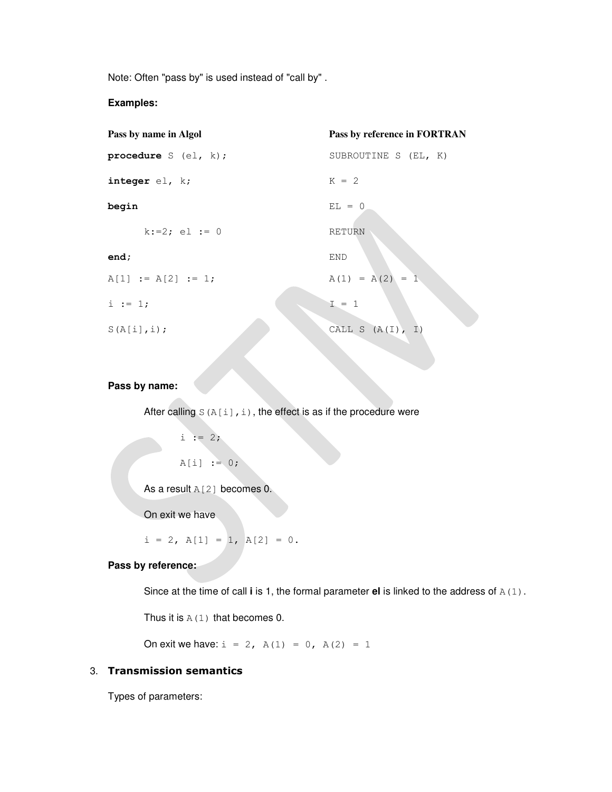Note: Often "pass by" is used instead of "call by" .

# **Examples:**

| Pass by name in Algol  | Pass by reference in FORTRAN |
|------------------------|------------------------------|
| procedure $S$ (el, k); | SUBROUTINE S (EL, K)         |
| integer $el$ , $k$ ;   | $K = 2$                      |
| begin                  | $EL = 0$                     |
| $k := 2$ ; el := 0     | <b>RETURN</b>                |
| end;                   | END                          |
| $A[1] := A[2] := 1;$   | $A(1) = A(2) = 1$            |
| $i := 1;$              | $I = 1$                      |
| $S(A[i], i)$ ;         | CALL S $(A(I), I)$           |

# **Pass by name:**

After calling  $S(A[i],i)$ , the effect is as if the procedure were

```
i := 2;
```

```
A[i] := 0;
```
As a result A[2] becomes 0.

On exit we have

 $i = 2$ ,  $A[1] = 1$ ,  $A[2] = 0$ .

# **Pass by reference:**

Since at the time of call **i** is 1, the formal parameter **el** is linked to the address of A(1).

Thus it is  $A(1)$  that becomes 0.

On exit we have:  $i = 2$ ,  $A(1) = 0$ ,  $A(2) = 1$ 

# 3. **Transmission semantics**

Types of parameters: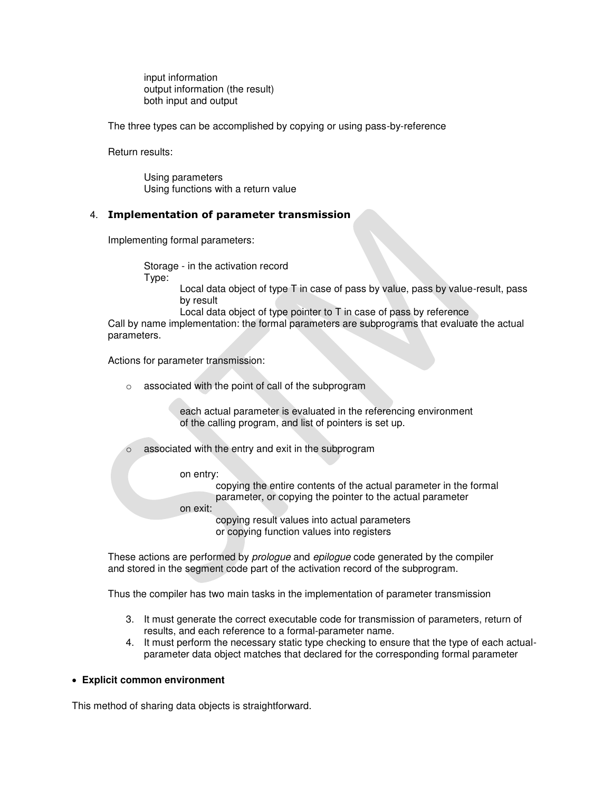input information output information (the result) both input and output

The three types can be accomplished by copying or using pass-by-reference

Return results:

Using parameters Using functions with a return value

# 4. **Implementation of parameter transmission**

Implementing formal parameters:

Storage - in the activation record Type:

> Local data object of type T in case of pass by value, pass by value-result, pass by result

Local data object of type pointer to T in case of pass by reference

Call by name implementation: the formal parameters are subprograms that evaluate the actual parameters.

Actions for parameter transmission:

o associated with the point of call of the subprogram

each actual parameter is evaluated in the referencing environment of the calling program, and list of pointers is set up.

o associated with the entry and exit in the subprogram

on entry:

copying the entire contents of the actual parameter in the formal parameter, or copying the pointer to the actual parameter

on exit:

copying result values into actual parameters or copying function values into registers

These actions are performed by *prologue* and *epilogue* code generated by the compiler and stored in the segment code part of the activation record of the subprogram.

Thus the compiler has two main tasks in the implementation of parameter transmission

- 3. It must generate the correct executable code for transmission of parameters, return of results, and each reference to a formal-parameter name.
- 4. It must perform the necessary static type checking to ensure that the type of each actualparameter data object matches that declared for the corresponding formal parameter

## **Explicit common environment**

This method of sharing data objects is straightforward.